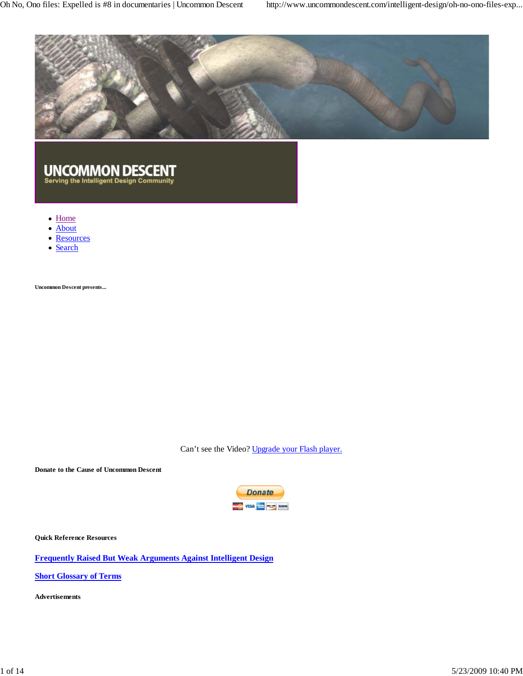Oh No, Ono files: Expelled is #8 in documentaries | Uncommon Descent http://www.uncommondescent.com/intelligent-design/oh-no-ono-files-exp...



#### **UNCOMMON DESCENT** Serving the Intelligent Design Community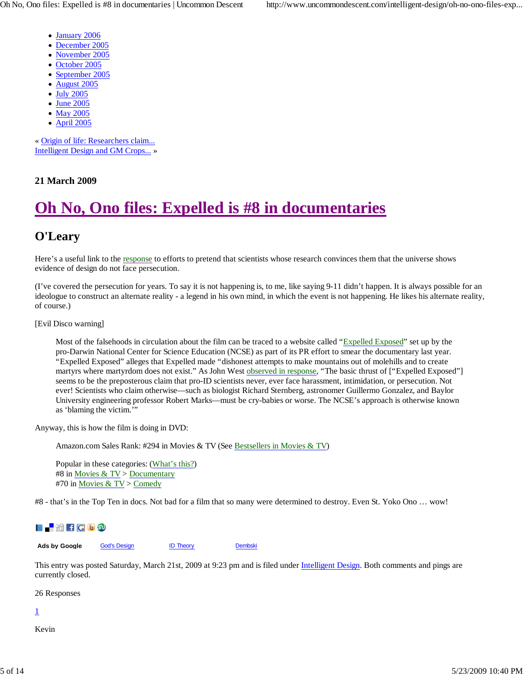- January 2006
- December 2005
- November 2005
- October 2005
- September 2005
- August 2005  $\bullet$
- July 2005  $\bullet$
- June 2005
- May 2005
- April 2005

« Origin of life: Researchers claim... Intelligent Design and GM Crops... »

#### **21 March 2009**

# **Oh No, Ono files: Expelled is #8 in documentaries**

## **O'Leary**

Here's a useful link to the response to efforts to pretend that scientists whose research convinces them that the universe shows evidence of design do not face persecution.

(I've covered the persecution for years. To say it is not happening is, to me, like saying 9-11 didn't happen. It is always possible for an ideologue to construct an alternate reality - a legend in his own mind, in which the event is not happening. He likes his alternate reality, of course.)

[Evil Disco warning]

Most of the falsehoods in circulation about the film can be traced to a website called "Expelled Exposed" set up by the pro-Darwin National Center for Science Education (NCSE) as part of its PR effort to smear the documentary last year. "Expelled Exposed" alleges that Expelled made "dishonest attempts to make mountains out of molehills and to create martyrs where martyrdom does not exist." As John West observed in response, "The basic thrust of ["Expelled Exposed"] seems to be the preposterous claim that pro-ID scientists never, ever face harassment, intimidation, or persecution. Not ever! Scientists who claim otherwise—such as biologist Richard Sternberg, astronomer Guillermo Gonzalez, and Baylor University engineering professor Robert Marks—must be cry-babies or worse. The NCSE's approach is otherwise known as 'blaming the victim.'"

Anyway, this is how the film is doing in DVD:

Amazon.com Sales Rank: #294 in Movies & TV (See Bestsellers in Movies & TV)

Popular in these categories: (What's this?) #8 in Movies & TV > Documentary #70 in Movies & TV > Comedy

#8 - that's in the Top Ten in docs. Not bad for a film that so many were determined to destroy. Even St. Yoko Ono … wow!



Ads by Google God's Design **ID Theory** Dembski

This entry was posted Saturday, March 21st, 2009 at 9:23 pm and is filed under Intelligent Design. Both comments and pings are currently closed.

26 Responses

1

Kevin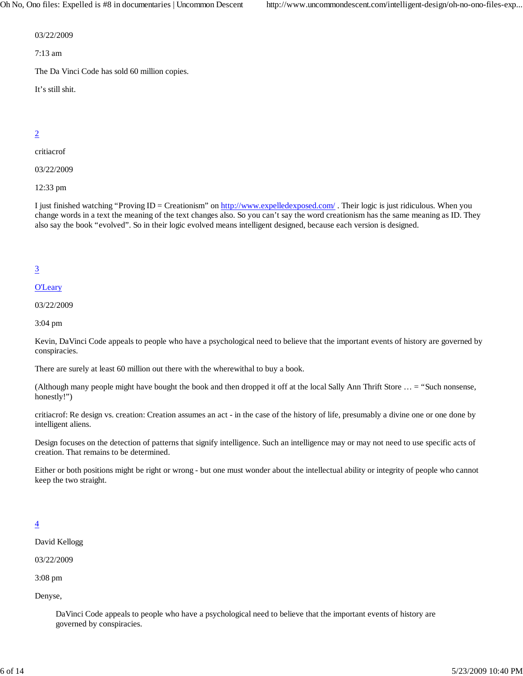Oh No, Ono files: Expelled is #8 in documentaries | Uncommon Descent http://www.uncommondescent.com/intelligent-design/oh-no-ono-files-exp...

03/22/2009

7:13 am

The Da Vinci Code has sold 60 million copies.

It's still shit.

#### 2

critiacrof

03/22/2009

12:33 pm

I just finished watching "Proving ID = Creationism" on http://www.expelledexposed.com/. Their logic is just ridiculous. When you change words in a text the meaning of the text changes also. So you can't say the word creationism has the same meaning as ID. They also say the book "evolved". So in their logic evolved means intelligent designed, because each version is designed.

#### 3

#### O'Leary

03/22/2009

3:04 pm

Kevin, DaVinci Code appeals to people who have a psychological need to believe that the important events of history are governed by conspiracies.

There are surely at least 60 million out there with the wherewithal to buy a book.

(Although many people might have bought the book and then dropped it off at the local Sally Ann Thrift Store … = "Such nonsense, honestly!")

critiacrof: Re design vs. creation: Creation assumes an act - in the case of the history of life, presumably a divine one or one done by intelligent aliens.

Design focuses on the detection of patterns that signify intelligence. Such an intelligence may or may not need to use specific acts of creation. That remains to be determined.

Either or both positions might be right or wrong - but one must wonder about the intellectual ability or integrity of people who cannot keep the two straight.

#### 4

David Kellogg

03/22/2009

3:08 pm

Denyse,

DaVinci Code appeals to people who have a psychological need to believe that the important events of history are governed by conspiracies.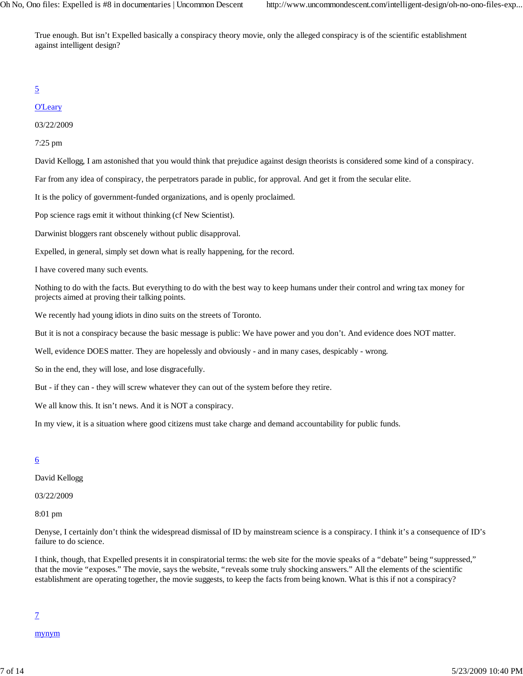True enough. But isn't Expelled basically a conspiracy theory movie, only the alleged conspiracy is of the scientific establishment against intelligent design?

#### 5

#### **O'Leary**

03/22/2009

7:25 pm

David Kellogg, I am astonished that you would think that prejudice against design theorists is considered some kind of a conspiracy.

Far from any idea of conspiracy, the perpetrators parade in public, for approval. And get it from the secular elite.

It is the policy of government-funded organizations, and is openly proclaimed.

Pop science rags emit it without thinking (cf New Scientist).

Darwinist bloggers rant obscenely without public disapproval.

Expelled, in general, simply set down what is really happening, for the record.

I have covered many such events.

Nothing to do with the facts. But everything to do with the best way to keep humans under their control and wring tax money for projects aimed at proving their talking points.

We recently had young idiots in dino suits on the streets of Toronto.

But it is not a conspiracy because the basic message is public: We have power and you don't. And evidence does NOT matter.

Well, evidence DOES matter. They are hopelessly and obviously - and in many cases, despicably - wrong.

So in the end, they will lose, and lose disgracefully.

But - if they can - they will screw whatever they can out of the system before they retire.

We all know this. It isn't news. And it is NOT a conspiracy.

In my view, it is a situation where good citizens must take charge and demand accountability for public funds.

#### 6

David Kellogg

03/22/2009

8:01 pm

Denyse, I certainly don't think the widespread dismissal of ID by mainstream science is a conspiracy. I think it's a consequence of ID's failure to do science.

I think, though, that Expelled presents it in conspiratorial terms: the web site for the movie speaks of a "debate" being "suppressed," that the movie "exposes." The movie, says the website, "reveals some truly shocking answers." All the elements of the scientific establishment are operating together, the movie suggests, to keep the facts from being known. What is this if not a conspiracy?

#### 7

mynym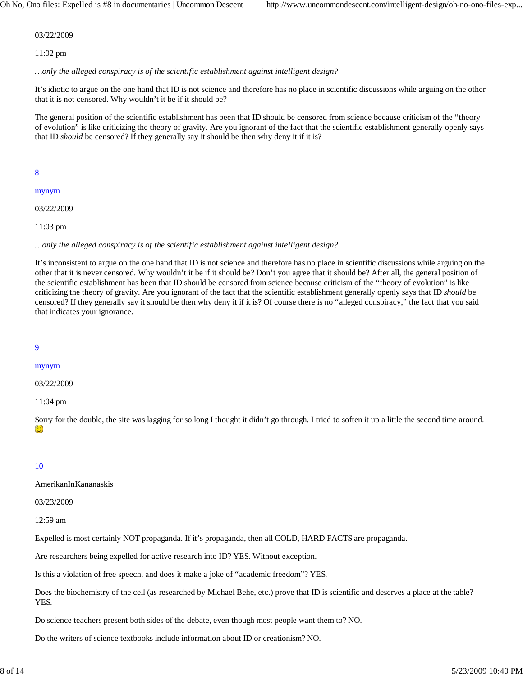03/22/2009

11:02 pm

*…only the alleged conspiracy is of the scientific establishment against intelligent design?*

It's idiotic to argue on the one hand that ID is not science and therefore has no place in scientific discussions while arguing on the other that it is not censored. Why wouldn't it be if it should be?

The general position of the scientific establishment has been that ID should be censored from science because criticism of the "theory of evolution" is like criticizing the theory of gravity. Are you ignorant of the fact that the scientific establishment generally openly says that ID *should* be censored? If they generally say it should be then why deny it if it is?

8

mynym

03/22/2009

11:03 pm

*…only the alleged conspiracy is of the scientific establishment against intelligent design?*

It's inconsistent to argue on the one hand that ID is not science and therefore has no place in scientific discussions while arguing on the other that it is never censored. Why wouldn't it be if it should be? Don't you agree that it should be? After all, the general position of the scientific establishment has been that ID should be censored from science because criticism of the "theory of evolution" is like criticizing the theory of gravity. Are you ignorant of the fact that the scientific establishment generally openly says that ID *should* be censored? If they generally say it should be then why deny it if it is? Of course there is no "alleged conspiracy," the fact that you said that indicates your ignorance.

#### 9

#### mynym

03/22/2009

11:04 pm

Sorry for the double, the site was lagging for so long I thought it didn't go through. I tried to soften it up a little the second time around. ٢

#### 10

#### AmerikanInKananaskis

03/23/2009

12:59 am

Expelled is most certainly NOT propaganda. If it's propaganda, then all COLD, HARD FACTS are propaganda.

Are researchers being expelled for active research into ID? YES. Without exception.

Is this a violation of free speech, and does it make a joke of "academic freedom"? YES.

Does the biochemistry of the cell (as researched by Michael Behe, etc.) prove that ID is scientific and deserves a place at the table? YES.

Do science teachers present both sides of the debate, even though most people want them to? NO.

Do the writers of science textbooks include information about ID or creationism? NO.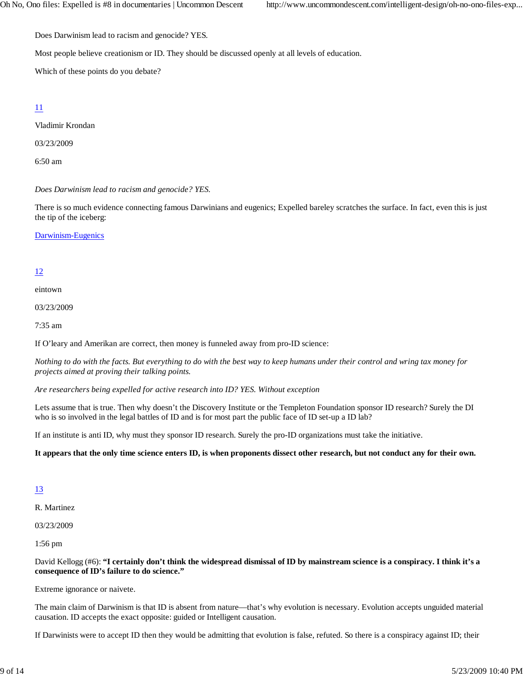Does Darwinism lead to racism and genocide? YES.

Most people believe creationism or ID. They should be discussed openly at all levels of education.

Which of these points do you debate?

#### 11

Vladimir Krondan

03/23/2009

6:50 am

*Does Darwinism lead to racism and genocide? YES.*

There is so much evidence connecting famous Darwinians and eugenics; Expelled bareley scratches the surface. In fact, even this is just the tip of the iceberg:

Darwinism-Eugenics

#### 12

eintown

03/23/2009

7:35 am

If O'leary and Amerikan are correct, then money is funneled away from pro-ID science:

*Nothing to do with the facts. But everything to do with the best way to keep humans under their control and wring tax money for projects aimed at proving their talking points.*

*Are researchers being expelled for active research into ID? YES. Without exception*

Lets assume that is true. Then why doesn't the Discovery Institute or the Templeton Foundation sponsor ID research? Surely the DI who is so involved in the legal battles of ID and is for most part the public face of ID set-up a ID lab?

If an institute is anti ID, why must they sponsor ID research. Surely the pro-ID organizations must take the initiative.

**It appears that the only time science enters ID, is when proponents dissect other research, but not conduct any for their own.**

#### 13

R. Martinez

03/23/2009

1:56 pm

David Kellogg (#6): **"I certainly don't think the widespread dismissal of ID by mainstream science is a conspiracy. I think it's a consequence of ID's failure to do science."**

Extreme ignorance or naivete.

The main claim of Darwinism is that ID is absent from nature—that's why evolution is necessary. Evolution accepts unguided material causation. ID accepts the exact opposite: guided or Intelligent causation.

If Darwinists were to accept ID then they would be admitting that evolution is false, refuted. So there is a conspiracy against ID; their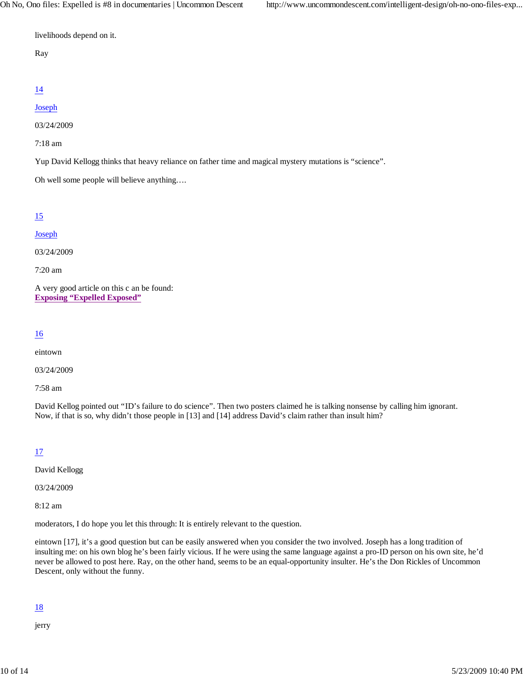livelihoods depend on it.

#### Ray

## 14

#### Joseph

03/24/2009

7:18 am

Yup David Kellogg thinks that heavy reliance on father time and magical mystery mutations is "science".

Oh well some people will believe anything….

## 15

#### **Joseph**

03/24/2009

7:20 am

A very good article on this c an be found: **Exposing "Expelled Exposed"**

#### 16

eintown

03/24/2009

7:58 am

David Kellog pointed out "ID's failure to do science". Then two posters claimed he is talking nonsense by calling him ignorant. Now, if that is so, why didn't those people in [13] and [14] address David's claim rather than insult him?

## 17

David Kellogg

03/24/2009

8:12 am

moderators, I do hope you let this through: It is entirely relevant to the question.

eintown [17], it's a good question but can be easily answered when you consider the two involved. Joseph has a long tradition of insulting me: on his own blog he's been fairly vicious. If he were using the same language against a pro-ID person on his own site, he'd never be allowed to post here. Ray, on the other hand, seems to be an equal-opportunity insulter. He's the Don Rickles of Uncommon Descent, only without the funny.

## 18

jerry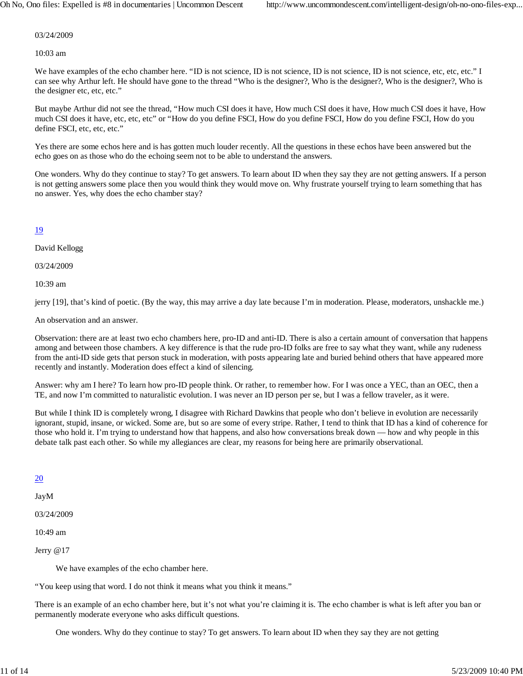03/24/2009

10:03 am

We have examples of the echo chamber here. "ID is not science, ID is not science, ID is not science, ID is not science, etc, etc, etc." I can see why Arthur left. He should have gone to the thread "Who is the designer?, Who is the designer?, Who is the designer?, Who is the designer etc, etc, etc."

But maybe Arthur did not see the thread, "How much CSI does it have, How much CSI does it have, How much CSI does it have, How much CSI does it have, etc, etc, etc" or "How do you define FSCI, How do you define FSCI, How do you define FSCI, How do you define FSCI, etc, etc, etc."

Yes there are some echos here and is has gotten much louder recently. All the questions in these echos have been answered but the echo goes on as those who do the echoing seem not to be able to understand the answers.

One wonders. Why do they continue to stay? To get answers. To learn about ID when they say they are not getting answers. If a person is not getting answers some place then you would think they would move on. Why frustrate yourself trying to learn something that has no answer. Yes, why does the echo chamber stay?

#### 19

David Kellogg

03/24/2009

10:39 am

jerry [19], that's kind of poetic. (By the way, this may arrive a day late because I'm in moderation. Please, moderators, unshackle me.)

An observation and an answer.

Observation: there are at least two echo chambers here, pro-ID and anti-ID. There is also a certain amount of conversation that happens among and between those chambers. A key difference is that the rude pro-ID folks are free to say what they want, while any rudeness from the anti-ID side gets that person stuck in moderation, with posts appearing late and buried behind others that have appeared more recently and instantly. Moderation does effect a kind of silencing.

Answer: why am I here? To learn how pro-ID people think. Or rather, to remember how. For I was once a YEC, than an OEC, then a TE, and now I'm committed to naturalistic evolution. I was never an ID person per se, but I was a fellow traveler, as it were.

But while I think ID is completely wrong, I disagree with Richard Dawkins that people who don't believe in evolution are necessarily ignorant, stupid, insane, or wicked. Some are, but so are some of every stripe. Rather, I tend to think that ID has a kind of coherence for those who hold it. I'm trying to understand how that happens, and also how conversations break down — how and why people in this debate talk past each other. So while my allegiances are clear, my reasons for being here are primarily observational.

#### 20

JayM

03/24/2009

10:49 am

Jerry @17

We have examples of the echo chamber here.

"You keep using that word. I do not think it means what you think it means."

There is an example of an echo chamber here, but it's not what you're claiming it is. The echo chamber is what is left after you ban or permanently moderate everyone who asks difficult questions.

One wonders. Why do they continue to stay? To get answers. To learn about ID when they say they are not getting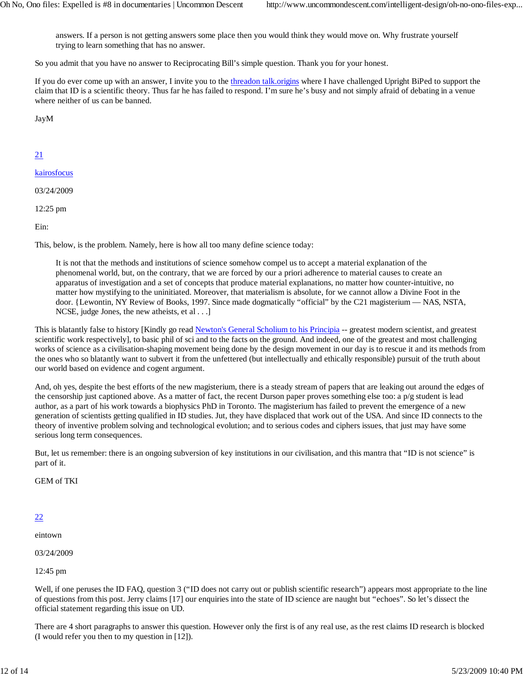answers. If a person is not getting answers some place then you would think they would move on. Why frustrate yourself trying to learn something that has no answer.

So you admit that you have no answer to Reciprocating Bill's simple question. Thank you for your honest.

If you do ever come up with an answer, I invite you to the threadon talk.origins where I have challenged Upright BiPed to support the claim that ID is a scientific theory. Thus far he has failed to respond. I'm sure he's busy and not simply afraid of debating in a venue where neither of us can be banned.

JayM

#### 21

kairosfocus

03/24/2009

12:25 pm

Ein:

This, below, is the problem. Namely, here is how all too many define science today:

It is not that the methods and institutions of science somehow compel us to accept a material explanation of the phenomenal world, but, on the contrary, that we are forced by our a priori adherence to material causes to create an apparatus of investigation and a set of concepts that produce material explanations, no matter how counter-intuitive, no matter how mystifying to the uninitiated. Moreover, that materialism is absolute, for we cannot allow a Divine Foot in the door. {Lewontin, NY Review of Books, 1997. Since made dogmatically "official" by the C21 magisterium — NAS, NSTA, NCSE, judge Jones, the new atheists, et al . . .]

This is blatantly false to history [Kindly go read Newton's General Scholium to his Principia -- greatest modern scientist, and greatest scientific work respectively], to basic phil of sci and to the facts on the ground. And indeed, one of the greatest and most challenging works of science as a civilisation-shaping movement being done by the design movement in our day is to rescue it and its methods from the ones who so blatantly want to subvert it from the unfettered (but intellectually and ethically responsible) pursuit of the truth about our world based on evidence and cogent argument.

And, oh yes, despite the best efforts of the new magisterium, there is a steady stream of papers that are leaking out around the edges of the censorship just captioned above. As a matter of fact, the recent Durson paper proves something else too: a  $p/g$  student is lead author, as a part of his work towards a biophysics PhD in Toronto. The magisterium has failed to prevent the emergence of a new generation of scientists getting qualified in ID studies. Jut, they have displaced that work out of the USA. And since ID connects to the theory of inventive problem solving and technological evolution; and to serious codes and ciphers issues, that just may have some serious long term consequences.

But, let us remember: there is an ongoing subversion of key institutions in our civilisation, and this mantra that "ID is not science" is part of it.

GEM of TKI

#### 22

eintown

03/24/2009

12:45 pm

Well, if one peruses the ID FAQ, question 3 ("ID does not carry out or publish scientific research") appears most appropriate to the line of questions from this post. Jerry claims [17] our enquiries into the state of ID science are naught but "echoes". So let's dissect the official statement regarding this issue on UD.

There are 4 short paragraphs to answer this question. However only the first is of any real use, as the rest claims ID research is blocked (I would refer you then to my question in [12]).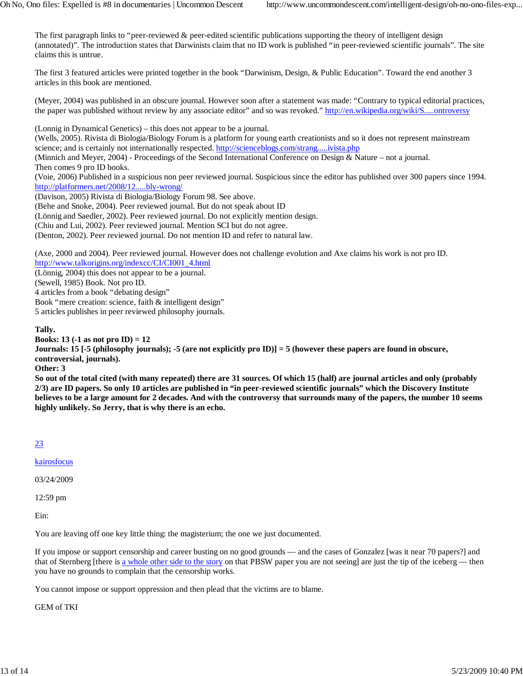The first paragraph links to "peer-reviewed & peer-edited scientific publications supporting the theory of intelligent design (annotated)". The introduction states that Darwinists claim that no ID work is published "in peer-reviewed scientific journals". The site claims this is untrue.

The first 3 featured articles were printed together in the book "Darwinism, Design, & Public Education". Toward the end another 3 articles in this book are mentioned.

(Meyer, 2004) was published in an obscure journal. However soon after a statement was made: "Contrary to typical editorial practices, the paper was published without review by any associate editor" and so was revoked." http://en.wikipedia.org/wiki/S.....ontroversy

(Lonnig in Dynamical Genetics) – this does not appear to be a journal.

(Wells, 2005). Rivista di Biologia/Biology Forum is a platform for young earth creationists and so it does not represent mainstream science; and is certainly not internationally respected. http://scienceblogs.com/strang.....ivista.php

(Minnich and Meyer, 2004) - Proceedings of the Second International Conference on Design & Nature – not a journal.

Then comes 9 pro ID books.

(Voie, 2006) Published in a suspicious non peer reviewed journal. Suspicious since the editor has published over 300 papers since 1994. http://platformers.net/2008/12.....bly-wrong/

(Davison, 2005) Rivista di Biologia/Biology Forum 98. See above.

(Behe and Snoke, 2004). Peer reviewed journal. But do not speak about ID

(Lönnig and Saedler, 2002). Peer reviewed journal. Do not explicitly mention design.

(Chiu and Lui, 2002). Peer reviewed journal. Mention SCI but do not agree.

(Denton, 2002). Peer reviewed journal. Do not mention ID and refer to natural law.

(Axe, 2000 and 2004). Peer reviewed journal. However does not challenge evolution and Axe claims his work is not pro ID.

http://www.talkorigins.org/indexcc/CI/CI001\_4.html

(Lönnig, 2004) this does not appear to be a journal.

(Sewell, 1985) Book. Not pro ID.

4 articles from a book "debating design"

Book "mere creation: science, faith & intelligent design"

5 articles publishes in peer reviewed philosophy journals.

#### **Tally.**

**Books: 13 (-1 as not pro ID) = 12**

**Journals: 15 [-5 (philosophy journals); -5 (are not explicitly pro ID)] = 5 (however these papers are found in obscure, controversial, journals).**

**Other: 3**

**So out of the total cited (with many repeated) there are 31 sources. Of which 15 (half) are journal articles and only (probably 2/3) are ID papers. So only 10 articles are published in "in peer-reviewed scientific journals" which the Discovery Institute believes to be a large amount for 2 decades. And with the controversy that surrounds many of the papers, the number 10 seems highly unlikely. So Jerry, that is why there is an echo.**

#### 23

kairosfocus

03/24/2009

12:59 pm

Ein:

You are leaving off one key little thing: the magisterium; the one we just documented.

If you impose or support censorship and career busting on no good grounds — and the cases of Gonzalez [was it near 70 papers?] and that of Sternberg [there is a whole other side to the story on that PBSW paper you are not seeing] are just the tip of the iceberg — then you have no grounds to complain that the censorship works.

You cannot impose or support oppression and then plead that the victims are to blame.

GEM of TKI